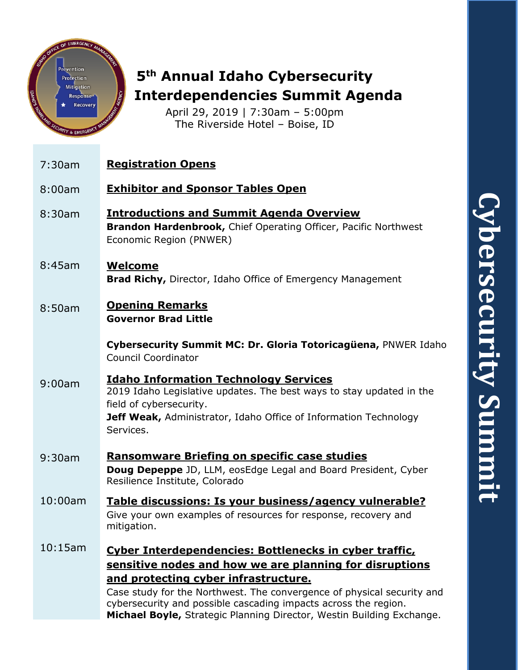



# **5th Annual Idaho Cybersecurity Interdependencies Summit Agenda**

April 29, 2019 | 7:30am – 5:00pm The Riverside Hotel – Boise, ID

| 7:30am  | <b>Registration Opens</b>                                                                                                                                                                                                                                                                              |
|---------|--------------------------------------------------------------------------------------------------------------------------------------------------------------------------------------------------------------------------------------------------------------------------------------------------------|
| 8:00am  | <b>Exhibitor and Sponsor Tables Open</b>                                                                                                                                                                                                                                                               |
| 8:30am  | <b>Introductions and Summit Agenda Overview</b><br>Brandon Hardenbrook, Chief Operating Officer, Pacific Northwest<br>Economic Region (PNWER)                                                                                                                                                          |
| 8:45am  | <b>Welcome</b><br><b>Brad Richy, Director, Idaho Office of Emergency Management</b>                                                                                                                                                                                                                    |
| 8:50am  | <b>Opening Remarks</b><br><b>Governor Brad Little</b>                                                                                                                                                                                                                                                  |
|         | Cybersecurity Summit MC: Dr. Gloria Totoricagüena, PNWER Idaho<br><b>Council Coordinator</b>                                                                                                                                                                                                           |
| 9:00am  | <b>Idaho Information Technology Services</b><br>2019 Idaho Legislative updates. The best ways to stay updated in the<br>field of cybersecurity.<br>Jeff Weak, Administrator, Idaho Office of Information Technology<br>Services.                                                                       |
| 9:30am  | <b>Ransomware Briefing on specific case studies</b><br><b>Doug Depeppe</b> JD, LLM, eosEdge Legal and Board President, Cyber<br>Resilience Institute, Colorado                                                                                                                                         |
| 10:00am | Table discussions: Is your business/agency vulnerable?<br>Give your own examples of resources for response, recovery and<br>mitigation.                                                                                                                                                                |
| 10:15am | Cyber Interdependencies: Bottlenecks in cyber traffic,<br>sensitive nodes and how we are planning for disruptions<br>and protecting cyber infrastructure.<br>Case study for the Northwest. The convergence of physical security and<br>cybersecurity and possible cascading impacts across the region. |
|         | Michael Boyle, Strategic Planning Director, Westin Building Exchange.                                                                                                                                                                                                                                  |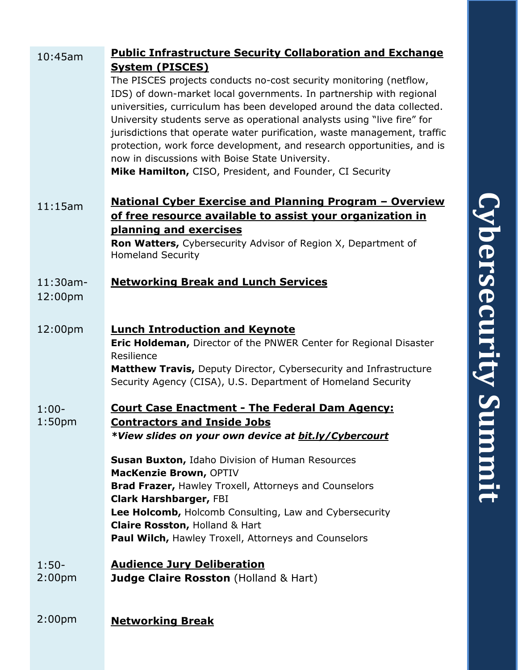| v,<br>nal<br>cted.<br>or<br>raffic<br>nd is |                                          |
|---------------------------------------------|------------------------------------------|
| ⁄ie<br>w<br>າ<br>ter<br>re                  | $\overline{\phantom{0}}$<br>DUUL<br>mitt |

| $10:45$ am                    | <b>Public Infrastructure Security Collaboration and Exchange</b>                                                                                                                                                                                                                                                                                                                                                                                                                                                                                                                              |  |
|-------------------------------|-----------------------------------------------------------------------------------------------------------------------------------------------------------------------------------------------------------------------------------------------------------------------------------------------------------------------------------------------------------------------------------------------------------------------------------------------------------------------------------------------------------------------------------------------------------------------------------------------|--|
|                               | <b>System (PISCES)</b><br>The PISCES projects conducts no-cost security monitoring (netflow,<br>IDS) of down-market local governments. In partnership with regional<br>universities, curriculum has been developed around the data collected.<br>University students serve as operational analysts using "live fire" for<br>jurisdictions that operate water purification, waste management, traffic<br>protection, work force development, and research opportunities, and is<br>now in discussions with Boise State University.<br>Mike Hamilton, CISO, President, and Founder, CI Security |  |
| 11:15am                       | <u><b>National Cyber Exercise and Planning Program - Overview</b></u><br>of free resource available to assist your organization in<br>planning and exercises<br>Ron Watters, Cybersecurity Advisor of Region X, Department of<br><b>Homeland Security</b>                                                                                                                                                                                                                                                                                                                                     |  |
| 11:30am-<br>12:00pm           | <b>Networking Break and Lunch Services</b>                                                                                                                                                                                                                                                                                                                                                                                                                                                                                                                                                    |  |
| 12:00pm                       | <b>Lunch Introduction and Keynote</b><br><b>Eric Holdeman, Director of the PNWER Center for Regional Disaster</b><br>Resilience<br>Matthew Travis, Deputy Director, Cybersecurity and Infrastructure<br>Security Agency (CISA), U.S. Department of Homeland Security                                                                                                                                                                                                                                                                                                                          |  |
| $1:00-$<br>1:50 <sub>pm</sub> | <b>Court Case Enactment - The Federal Dam Agency:</b><br><b>Contractors and Inside Jobs</b><br>*View slides on your own device at bit.ly/Cybercourt                                                                                                                                                                                                                                                                                                                                                                                                                                           |  |
|                               | <b>Susan Buxton, Idaho Division of Human Resources</b><br>MacKenzie Brown, OPTIV<br><b>Brad Frazer, Hawley Troxell, Attorneys and Counselors</b><br><b>Clark Harshbarger, FBI</b><br>Lee Holcomb, Holcomb Consulting, Law and Cybersecurity<br>Claire Rosston, Holland & Hart<br>Paul Wilch, Hawley Troxell, Attorneys and Counselors                                                                                                                                                                                                                                                         |  |
| $1:50-$<br>2:00 <sub>pm</sub> | <b>Audience Jury Deliberation</b><br><b>Judge Claire Rosston</b> (Holland & Hart)                                                                                                                                                                                                                                                                                                                                                                                                                                                                                                             |  |
| 2:00pm                        | <b>Networking Break</b>                                                                                                                                                                                                                                                                                                                                                                                                                                                                                                                                                                       |  |